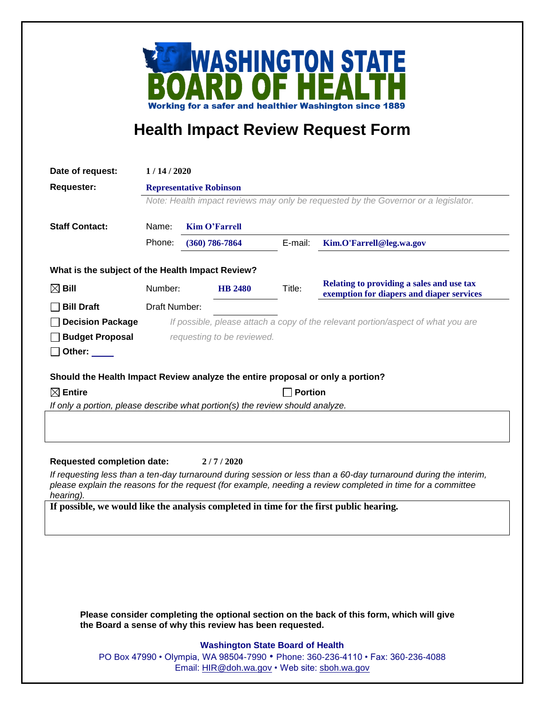

## **Health Impact Review Request Form**

| Date of request:                                                                                                                                                                                                                             | 1/14/2020                                                                          |               |                            |         |                                                                                        |  |
|----------------------------------------------------------------------------------------------------------------------------------------------------------------------------------------------------------------------------------------------|------------------------------------------------------------------------------------|---------------|----------------------------|---------|----------------------------------------------------------------------------------------|--|
| Requester:                                                                                                                                                                                                                                   | <b>Representative Robinson</b>                                                     |               |                            |         |                                                                                        |  |
|                                                                                                                                                                                                                                              | Note: Health impact reviews may only be requested by the Governor or a legislator. |               |                            |         |                                                                                        |  |
|                                                                                                                                                                                                                                              |                                                                                    |               |                            |         |                                                                                        |  |
| <b>Staff Contact:</b>                                                                                                                                                                                                                        | Name:<br><b>Kim O'Farrell</b>                                                      |               |                            |         |                                                                                        |  |
|                                                                                                                                                                                                                                              | Phone:                                                                             |               | $(360)$ 786-7864           | E-mail: | Kim.O'Farrell@leg.wa.gov                                                               |  |
| What is the subject of the Health Impact Review?                                                                                                                                                                                             |                                                                                    |               |                            |         |                                                                                        |  |
| $\boxtimes$ Bill                                                                                                                                                                                                                             | Number:                                                                            |               | <b>HB 2480</b>             | Title:  | Relating to providing a sales and use tax<br>exemption for diapers and diaper services |  |
| <b>Bill Draft</b>                                                                                                                                                                                                                            |                                                                                    | Draft Number: |                            |         |                                                                                        |  |
| <b>Decision Package</b>                                                                                                                                                                                                                      |                                                                                    |               |                            |         | If possible, please attach a copy of the relevant portion/aspect of what you are       |  |
| <b>Budget Proposal</b>                                                                                                                                                                                                                       |                                                                                    |               | requesting to be reviewed. |         |                                                                                        |  |
| Other: $\_\_$                                                                                                                                                                                                                                |                                                                                    |               |                            |         |                                                                                        |  |
|                                                                                                                                                                                                                                              |                                                                                    |               |                            |         |                                                                                        |  |
| Should the Health Impact Review analyze the entire proposal or only a portion?<br>$\boxtimes$ Entire<br><b>Portion</b>                                                                                                                       |                                                                                    |               |                            |         |                                                                                        |  |
| If only a portion, please describe what portion(s) the review should analyze.                                                                                                                                                                |                                                                                    |               |                            |         |                                                                                        |  |
|                                                                                                                                                                                                                                              |                                                                                    |               |                            |         |                                                                                        |  |
|                                                                                                                                                                                                                                              |                                                                                    |               |                            |         |                                                                                        |  |
|                                                                                                                                                                                                                                              |                                                                                    |               |                            |         |                                                                                        |  |
| <b>Requested completion date:</b><br>2/7/2020                                                                                                                                                                                                |                                                                                    |               |                            |         |                                                                                        |  |
| If requesting less than a ten-day turnaround during session or less than a 60-day turnaround during the interim,<br>please explain the reasons for the request (for example, needing a review completed in time for a committee<br>hearing). |                                                                                    |               |                            |         |                                                                                        |  |
| If possible, we would like the analysis completed in time for the first public hearing.                                                                                                                                                      |                                                                                    |               |                            |         |                                                                                        |  |
|                                                                                                                                                                                                                                              |                                                                                    |               |                            |         |                                                                                        |  |
|                                                                                                                                                                                                                                              |                                                                                    |               |                            |         |                                                                                        |  |
|                                                                                                                                                                                                                                              |                                                                                    |               |                            |         |                                                                                        |  |
|                                                                                                                                                                                                                                              |                                                                                    |               |                            |         |                                                                                        |  |
|                                                                                                                                                                                                                                              |                                                                                    |               |                            |         |                                                                                        |  |
|                                                                                                                                                                                                                                              |                                                                                    |               |                            |         |                                                                                        |  |
| Please consider completing the optional section on the back of this form, which will give<br>the Board a sense of why this review has been requested.                                                                                        |                                                                                    |               |                            |         |                                                                                        |  |
| <b>Washington State Board of Health</b>                                                                                                                                                                                                      |                                                                                    |               |                            |         |                                                                                        |  |
|                                                                                                                                                                                                                                              |                                                                                    |               |                            |         |                                                                                        |  |

PO Box 47990 • Olympia, WA 98504-7990 • Phone: 360-236-4110 • Fax: 360-236-4088 Email: [HIR@doh.wa.gov](mailto:HIR@doh.wa.gov) • Web site: [sboh.wa.gov](http://www.sboh.wa.gov/hdcouncil/)